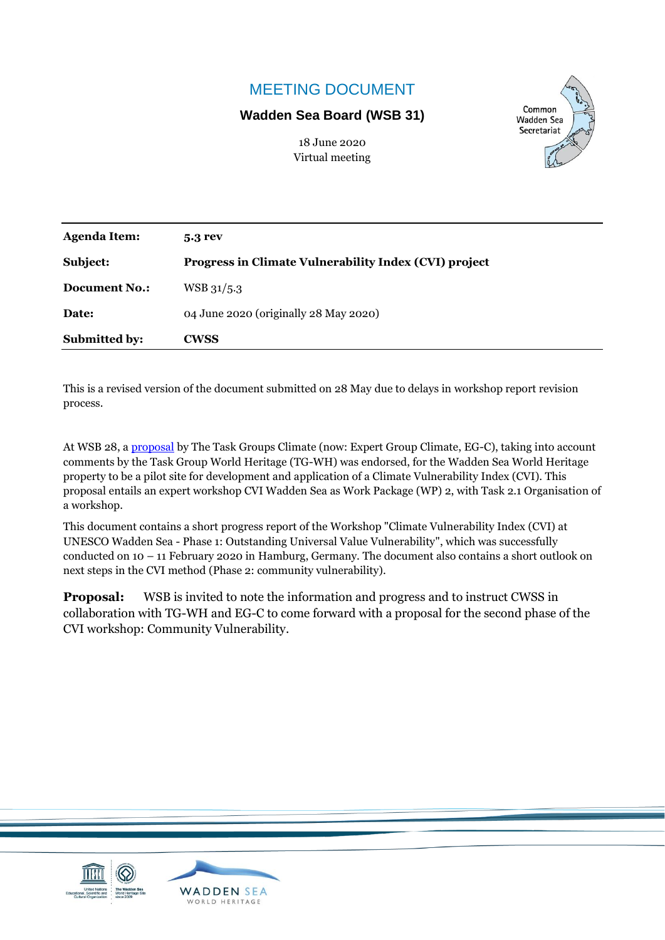## MEETING DOCUMENT

## **Wadden Sea Board (WSB 31)**



18 June 2020 Virtual meeting

| <b>Agenda Item:</b>  | <b>5.3 rev</b>                                        |
|----------------------|-------------------------------------------------------|
| Subject:             | Progress in Climate Vulnerability Index (CVI) project |
| <b>Document No.:</b> | WSB 31/5.3                                            |
| Date:                | 04 June 2020 (originally 28 May 2020)                 |
| <b>Submitted by:</b> | <b>CWSS</b>                                           |

This is a revised version of the document submitted on 28 May due to delays in workshop report revision process.

At WSB 28, [a proposal](https://www.waddensea-worldheritage.org/resources/28th-meeting-wadden-sea-board-wsb-28-meeting-documents) by The Task Groups Climate (now: Expert Group Climate, EG-C), taking into account comments by the Task Group World Heritage (TG-WH) was endorsed, for the Wadden Sea World Heritage property to be a pilot site for development and application of a Climate Vulnerability Index (CVI). This proposal entails an expert workshop CVI Wadden Sea as Work Package (WP) 2, with Task 2.1 Organisation of a workshop.

This document contains a short progress report of the Workshop "Climate Vulnerability Index (CVI) at UNESCO Wadden Sea - Phase 1: Outstanding Universal Value Vulnerability", which was successfully conducted on 10 – 11 February 2020 in Hamburg, Germany. The document also contains a short outlook on next steps in the CVI method (Phase 2: community vulnerability).

**Proposal:** WSB is invited to note the information and progress and to instruct CWSS in collaboration with TG-WH and EG-C to come forward with a proposal for the second phase of the CVI workshop: Community Vulnerability.

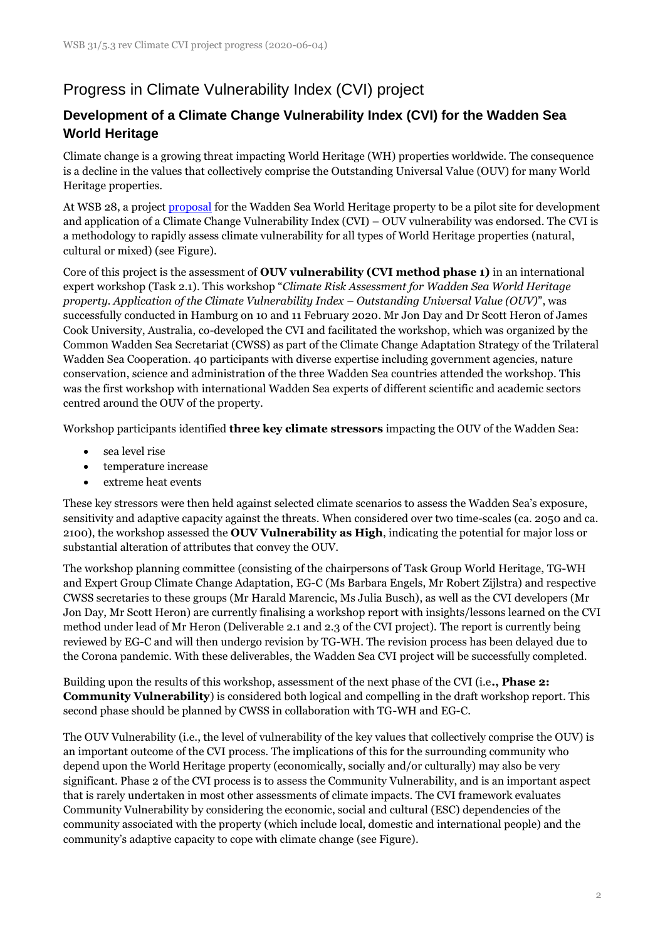## Progress in Climate Vulnerability Index (CVI) project

## **Development of a Climate Change Vulnerability Index (CVI) for the Wadden Sea World Heritage**

Climate change is a growing threat impacting World Heritage (WH) properties worldwide. The consequence is a decline in the values that collectively comprise the Outstanding Universal Value (OUV) for many World Heritage properties.

At WSB 28, a project [proposal](https://www.waddensea-worldheritage.org/resources/28th-meeting-wadden-sea-board-wsb-28-meeting-documents) for the Wadden Sea World Heritage property to be a pilot site for development and application of a Climate Change Vulnerability Index (CVI) – OUV vulnerability was endorsed. The CVI is a methodology to rapidly assess climate vulnerability for all types of World Heritage properties (natural, cultural or mixed) (see Figure).

Core of this project is the assessment of **OUV vulnerability (CVI method phase 1)** in an international expert workshop (Task 2.1). This workshop "*Climate Risk Assessment for Wadden Sea World Heritage property. Application of the Climate Vulnerability Index – Outstanding Universal Value (OUV)*", was successfully conducted in Hamburg on 10 and 11 February 2020. Mr Jon Day and Dr Scott Heron of James Cook University, Australia, co-developed the CVI and facilitated the workshop, which was organized by the Common Wadden Sea Secretariat (CWSS) as part of the Climate Change Adaptation Strategy of the Trilateral Wadden Sea Cooperation. 40 participants with diverse expertise including government agencies, nature conservation, science and administration of the three Wadden Sea countries attended the workshop. This was the first workshop with international Wadden Sea experts of different scientific and academic sectors centred around the OUV of the property.

Workshop participants identified **three key climate stressors** impacting the OUV of the Wadden Sea:

- sea level rise
- temperature increase
- extreme heat events

These key stressors were then held against selected climate scenarios to assess the Wadden Sea's exposure, sensitivity and adaptive capacity against the threats. When considered over two time-scales (ca. 2050 and ca. 2100), the workshop assessed the **OUV Vulnerability as High**, indicating the potential for major loss or substantial alteration of attributes that convey the OUV.

The workshop planning committee (consisting of the chairpersons of Task Group World Heritage, TG-WH and Expert Group Climate Change Adaptation, EG-C (Ms Barbara Engels, Mr Robert Zijlstra) and respective CWSS secretaries to these groups (Mr Harald Marencic, Ms Julia Busch), as well as the CVI developers (Mr Jon Day, Mr Scott Heron) are currently finalising a workshop report with insights/lessons learned on the CVI method under lead of Mr Heron (Deliverable 2.1 and 2.3 of the CVI project). The report is currently being reviewed by EG-C and will then undergo revision by TG-WH. The revision process has been delayed due to the Corona pandemic. With these deliverables, the Wadden Sea CVI project will be successfully completed.

Building upon the results of this workshop, assessment of the next phase of the CVI (i.e**., Phase 2: Community Vulnerability**) is considered both logical and compelling in the draft workshop report. This second phase should be planned by CWSS in collaboration with TG-WH and EG-C.

The OUV Vulnerability (i.e., the level of vulnerability of the key values that collectively comprise the OUV) is an important outcome of the CVI process. The implications of this for the surrounding community who depend upon the World Heritage property (economically, socially and/or culturally) may also be very significant. Phase 2 of the CVI process is to assess the Community Vulnerability, and is an important aspect that is rarely undertaken in most other assessments of climate impacts. The CVI framework evaluates Community Vulnerability by considering the economic, social and cultural (ESC) dependencies of the community associated with the property (which include local, domestic and international people) and the community's adaptive capacity to cope with climate change (see Figure).